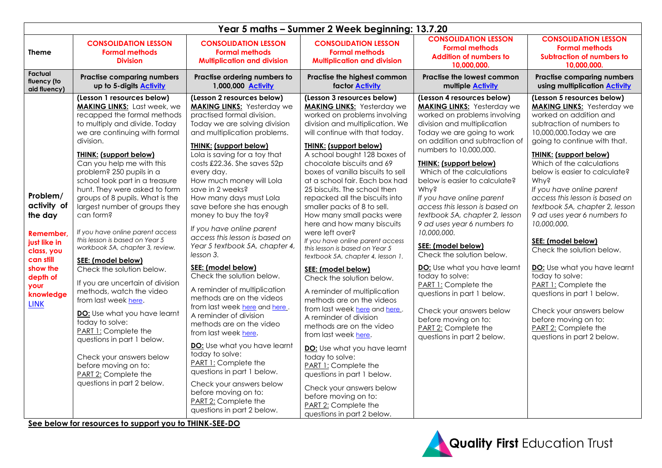|                                                                                                                                                       | Year 5 maths - Summer 2 Week beginning: 13.7.20                                                                                                                                                                                                                                                                                                                                                                                                                                                                                                                                                                                                                                                                                                                                                                                                                                                     |                                                                                                                                                                                                                                                                                                                                                                                                                                                                                                                                                                                                                                                                                                                                                                                                                                                                                                                                                                                 |                                                                                                                                                                                                                                                                                                                                                                                                                                                                                                                                                                                                                                                                                                                                                                                                                                                                                                                                                                                                                                                                                       |                                                                                                                                                                                                                                                                                                                                                                                                                                                                                                                                                                                                                                                                                                                                                             |                                                                                                                                                                                                                                                                                                                                                                                                                                                                                                                                                                                                                                                                                                                       |  |  |  |
|-------------------------------------------------------------------------------------------------------------------------------------------------------|-----------------------------------------------------------------------------------------------------------------------------------------------------------------------------------------------------------------------------------------------------------------------------------------------------------------------------------------------------------------------------------------------------------------------------------------------------------------------------------------------------------------------------------------------------------------------------------------------------------------------------------------------------------------------------------------------------------------------------------------------------------------------------------------------------------------------------------------------------------------------------------------------------|---------------------------------------------------------------------------------------------------------------------------------------------------------------------------------------------------------------------------------------------------------------------------------------------------------------------------------------------------------------------------------------------------------------------------------------------------------------------------------------------------------------------------------------------------------------------------------------------------------------------------------------------------------------------------------------------------------------------------------------------------------------------------------------------------------------------------------------------------------------------------------------------------------------------------------------------------------------------------------|---------------------------------------------------------------------------------------------------------------------------------------------------------------------------------------------------------------------------------------------------------------------------------------------------------------------------------------------------------------------------------------------------------------------------------------------------------------------------------------------------------------------------------------------------------------------------------------------------------------------------------------------------------------------------------------------------------------------------------------------------------------------------------------------------------------------------------------------------------------------------------------------------------------------------------------------------------------------------------------------------------------------------------------------------------------------------------------|-------------------------------------------------------------------------------------------------------------------------------------------------------------------------------------------------------------------------------------------------------------------------------------------------------------------------------------------------------------------------------------------------------------------------------------------------------------------------------------------------------------------------------------------------------------------------------------------------------------------------------------------------------------------------------------------------------------------------------------------------------------|-----------------------------------------------------------------------------------------------------------------------------------------------------------------------------------------------------------------------------------------------------------------------------------------------------------------------------------------------------------------------------------------------------------------------------------------------------------------------------------------------------------------------------------------------------------------------------------------------------------------------------------------------------------------------------------------------------------------------|--|--|--|
| Theme                                                                                                                                                 | <b>CONSOLIDATION LESSON</b><br><b>Formal methods</b><br><b>Division</b>                                                                                                                                                                                                                                                                                                                                                                                                                                                                                                                                                                                                                                                                                                                                                                                                                             | <b>CONSOLIDATION LESSON</b><br><b>Formal methods</b><br><b>Multiplication and division</b>                                                                                                                                                                                                                                                                                                                                                                                                                                                                                                                                                                                                                                                                                                                                                                                                                                                                                      | <b>CONSOLIDATION LESSON</b><br><b>Formal methods</b><br><b>Multiplication and division</b>                                                                                                                                                                                                                                                                                                                                                                                                                                                                                                                                                                                                                                                                                                                                                                                                                                                                                                                                                                                            | <b>CONSOLIDATION LESSON</b><br><b>Formal methods</b><br><b>Addition of numbers to</b><br>10,000,000.                                                                                                                                                                                                                                                                                                                                                                                                                                                                                                                                                                                                                                                        | <b>CONSOLIDATION LESSON</b><br><b>Formal methods</b><br><b>Subtraction of numbers to</b><br>10,000,000.                                                                                                                                                                                                                                                                                                                                                                                                                                                                                                                                                                                                               |  |  |  |
| Factual<br>fluency (to<br>aid fluency)                                                                                                                | <b>Practise comparing numbers</b><br>up to 5-digits <b>Activity</b>                                                                                                                                                                                                                                                                                                                                                                                                                                                                                                                                                                                                                                                                                                                                                                                                                                 | Practise ordering numbers to<br>1,000,000 Activity                                                                                                                                                                                                                                                                                                                                                                                                                                                                                                                                                                                                                                                                                                                                                                                                                                                                                                                              | Practise the highest common<br>factor <b>Activity</b>                                                                                                                                                                                                                                                                                                                                                                                                                                                                                                                                                                                                                                                                                                                                                                                                                                                                                                                                                                                                                                 | <b>Practise the lowest common</b><br>multiple <b>Activity</b>                                                                                                                                                                                                                                                                                                                                                                                                                                                                                                                                                                                                                                                                                               | <b>Practise comparing numbers</b><br>using multiplication <b>Activity</b>                                                                                                                                                                                                                                                                                                                                                                                                                                                                                                                                                                                                                                             |  |  |  |
| Problem/<br>activity of<br>the day<br>Remember<br>just like in<br>class, you<br>can still<br>show the<br>depth of<br>your<br>knowledge<br><b>LINK</b> | (Lesson 1 resources below)<br><b>MAKING LINKS:</b> Last week, we<br>recapped the formal methods<br>to multiply and divide. Today<br>we are continuing with formal<br>division.<br><b>THINK: (support below)</b><br>Can you help me with this<br>problem? 250 pupils in a<br>school took part in a treasure<br>hunt. They were asked to form<br>groups of 8 pupils. What is the<br>largest number of groups they<br>can form?<br>If you have online parent access<br>this lesson is based on Year 5<br>workbook 5A, chapter 3, review.<br>SEE: (model below)<br>Check the solution below.<br>If you are uncertain of division<br>methods, watch the video<br>from last week here.<br>DO: Use what you have learnt<br>today to solve:<br>PART 1: Complete the<br>questions in part 1 below.<br>Check your answers below<br>before moving on to:<br>PART 2: Complete the<br>questions in part 2 below. | (Lesson 2 resources below)<br><b>MAKING LINKS: Yesterday we</b><br>practised formal division.<br>Today we are solving division<br>and multiplication problems.<br><b>THINK: (support below)</b><br>Lola is saving for a toy that<br>costs £22.36. She saves 52p<br>every day.<br>How much money will Lola<br>save in 2 weeks?<br>How many days must Lola<br>save before she has enough<br>money to buy the toy?<br>If you have online parent<br>access this lesson is based on<br>Year 5 textbook 5A, chapter 4,<br>lesson 3.<br>SEE: (model below)<br>Check the solution below.<br>A reminder of multiplication<br>methods are on the videos<br>from last week here and here.<br>A reminder of division<br>methods are on the video<br>from last week here.<br>DO: Use what you have learnt<br>today to solve:<br>PART 1: Complete the<br>questions in part 1 below.<br>Check your answers below<br>before moving on to:<br>PART 2: Complete the<br>questions in part 2 below. | (Lesson 3 resources below)<br><b>MAKING LINKS: Yesterday we</b><br>worked on problems involving<br>division and multiplication. We<br>will continue with that today.<br><b>THINK: (support below)</b><br>A school bought 128 boxes of<br>chocolate biscuits and 69<br>boxes of vanilla biscuits to sell<br>at a school fair. Each box had<br>25 biscuits. The school then<br>repacked all the biscuits into<br>smaller packs of 8 to sell.<br>How many small packs were<br>here and how many biscuits<br>were left over?<br>If you have online parent access<br>this lesson is based on Year 5<br>textbook 5A, chapter 4, lesson 1.<br>SEE: (model below)<br>Check the solution below.<br>A reminder of multiplication<br>methods are on the videos<br>from last week here and here.<br>A reminder of division<br>methods are on the video<br>from last week here.<br>DO: Use what you have learnt<br>today to solve:<br>PART 1: Complete the<br>questions in part 1 below.<br>Check your answers below<br>before moving on to:<br>PART 2: Complete the<br>questions in part 2 below. | (Lesson 4 resources below)<br><b>MAKING LINKS: Yesterday we</b><br>worked on problems involving<br>division and multiplication<br>Today we are going to work<br>on addition and subtraction of<br>numbers to 10,000,000.<br><b>THINK: (support below)</b><br>Which of the calculations<br>below is easier to calculate?<br><b>Why?</b><br>If you have online parent<br>access this lesson is based on<br>textbook 5A, chapter 2, lesson<br>9 ad uses year 6 numbers to<br>10,000,000.<br>SEE: (model below)<br>Check the solution below.<br>DO: Use what you have learnt<br>today to solve:<br>PART 1: Complete the<br>questions in part 1 below.<br>Check your answers below<br>before moving on to:<br>PART 2: Complete the<br>questions in part 2 below. | (Lesson 5 resources below)<br><b>MAKING LINKS:</b> Yesterday we<br>worked on addition and<br>subtraction of numbers to<br>10,000,000. Today we are<br>going to continue with that.<br><b>THINK: (support below)</b><br>Which of the calculations<br>below is easier to calculate?<br><b>Why?</b><br>If you have online parent<br>access this lesson is based on<br>textbook 5A, chapter 2, lesson<br>9 ad uses year 6 numbers to<br>10,000,000.<br>SEE: (model below)<br>Check the solution below.<br>DO: Use what you have learnt<br>today to solve:<br>PART 1: Complete the<br>questions in part 1 below.<br>Check your answers below<br>before moving on to:<br>PART 2: Complete the<br>questions in part 2 below. |  |  |  |

**See below for resources to support you to THINK-SEE-DO**

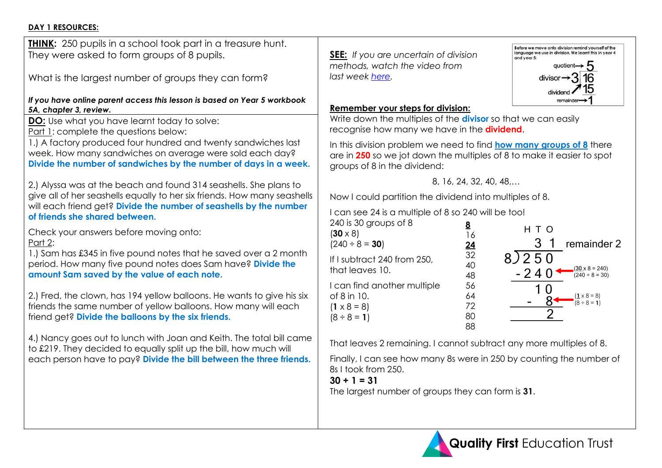### **DAY 1 RESOURCES:**

| <b>THINK:</b> 250 pupils in a school took part in a treasure hunt.<br>They were asked to form groups of 8 pupils.<br>What is the largest number of groups they can form?                                                                                                                                                                                                                                                                                                                                                                                                                                                                                                                                                                                                                                                                                                                                                                                                                                                                                                                                                                                                                                                                                                                                                     | Be<br>Ia<br><b>SEE:</b> If you are uncertain of division<br>methods, watch the video from<br>last week here.                                                                                                                                                                                                                                                                                                                                                                                                                                                                                                                                                                                                                                                                                                                                                                                          |
|------------------------------------------------------------------------------------------------------------------------------------------------------------------------------------------------------------------------------------------------------------------------------------------------------------------------------------------------------------------------------------------------------------------------------------------------------------------------------------------------------------------------------------------------------------------------------------------------------------------------------------------------------------------------------------------------------------------------------------------------------------------------------------------------------------------------------------------------------------------------------------------------------------------------------------------------------------------------------------------------------------------------------------------------------------------------------------------------------------------------------------------------------------------------------------------------------------------------------------------------------------------------------------------------------------------------------|-------------------------------------------------------------------------------------------------------------------------------------------------------------------------------------------------------------------------------------------------------------------------------------------------------------------------------------------------------------------------------------------------------------------------------------------------------------------------------------------------------------------------------------------------------------------------------------------------------------------------------------------------------------------------------------------------------------------------------------------------------------------------------------------------------------------------------------------------------------------------------------------------------|
| If you have online parent access this lesson is based on Year 5 workbook<br>5A, chapter 3, review.<br><b>DO:</b> Use what you have learnt today to solve:<br>Part 1: complete the questions below:<br>1.) A factory produced four hundred and twenty sandwiches last<br>week. How many sandwiches on average were sold each day?<br>Divide the number of sandwiches by the number of days in a week.<br>2.) Alyssa was at the beach and found 314 seashells. She plans to<br>give all of her seashells equally to her six friends. How many seashells<br>will each friend get? Divide the number of seashells by the number<br>of friends she shared between.<br>Check your answers before moving onto:<br>Part 2:<br>1.) Sam has £345 in five pound notes that he saved over a 2 month<br>period. How many five pound notes does Sam have? Divide the<br>amount Sam saved by the value of each note.<br>2.) Fred, the clown, has 194 yellow balloons. He wants to give his six<br>friends the same number of yellow balloons. How many will each<br>friend get? Divide the balloons by the six friends.<br>4.) Nancy goes out to lunch with Joan and Keith. The total bill came<br>to £219. They decided to equally split up the bill, how much will<br>each person have to pay? Divide the bill between the three friends. | Remember your steps for division:<br>Write down the multiples of the divisor so that<br>recognise how many we have in the dividend<br>In this division problem we need to find how n<br>are in 250 so we jot down the multiples of 8 to<br>groups of 8 in the dividend:<br>8, 16, 24, 32, 40, 48,<br>Now I could partition the dividend into multip<br>I can see 24 is a multiple of 8 so 240 will be to<br>240 is 30 groups of 8<br><u>8</u><br>$(30 \times 8)$<br>16<br>$(240 \div 8 = 30)$<br>$\frac{24}{32}$<br>8)<br>If I subtract 240 from 250,<br>40<br>that leaves 10.<br>48<br>I can find another multiple<br>56<br>of 8 in 10.<br>64<br>72<br>$(1 \times 8 = 8)$<br>80<br>$(8 \div 8 = 1)$<br>88<br>That leaves 2 remaining. I cannot subtract an<br>Finally, I can see how many 8s were in 250 by<br>8s I took from 250.<br>$30 + 1 = 31$<br>The largest number of groups they can form is |
|                                                                                                                                                                                                                                                                                                                                                                                                                                                                                                                                                                                                                                                                                                                                                                                                                                                                                                                                                                                                                                                                                                                                                                                                                                                                                                                              |                                                                                                                                                                                                                                                                                                                                                                                                                                                                                                                                                                                                                                                                                                                                                                                                                                                                                                       |



t we can easily recognise how many we have in the **dividend**.

**In the division problem we need to find the many groups of 8** there  $\overline{2}$  make it easier to spot

les of 8.

| 240 IS 30 groups of 8<br>$(30 \times 8)$<br>$(240 \div 8 = 30)$                    | <u>8</u><br>16<br><u>24</u> | H T O<br>remainder 2                                            |
|------------------------------------------------------------------------------------|-----------------------------|-----------------------------------------------------------------|
| f I subtract 240 from 250,<br>that leaves 10.                                      | 32<br>40<br>48              | 8/250<br>$(30 \times 8 = 240)$<br>$-240$<br>$(240 \div 8 = 30)$ |
| can find another multiple<br>of 8 in 10.<br>$(1 \times 8 = 8)$<br>$(8 \div 8 = 1)$ | 56<br>64<br>72<br>80        | $(\frac{1}{8} \times 8 = 8)$<br>(8 ÷ 8 = 1)                     |
|                                                                                    | 88                          |                                                                 |

The multiples of 8.

s counting the number of

The largest number of groups they can form is **31**.

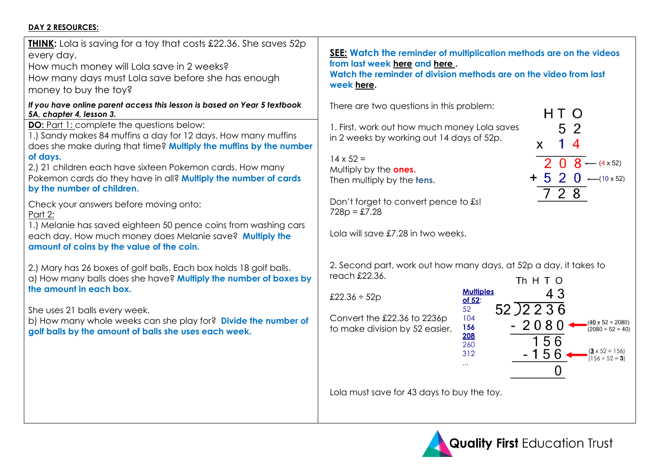# **DAY 2 RESOURCES:**

| <b>THINK:</b> Lola is saving for a toy that costs £22.36. She saves 52p<br>every day.<br>How much money will Lola save in 2 weeks?<br>How many days must Lola save before she has enough<br>money to buy the toy?                                                                                                                                                                                                                                                                                                                                                                                                                                                                                                                                                                                                                                                                                                                                                                                                                            | <b><u>SEE:</u></b> Watch the reminder of multiplication methods are on the videos<br>from last week here and here.<br>Watch the reminder of division methods are on the video from last<br>week here.                                                                                                                                                                                                                                                                                                                                                                                                                                                                                                                                                                                                                                                                                             |
|----------------------------------------------------------------------------------------------------------------------------------------------------------------------------------------------------------------------------------------------------------------------------------------------------------------------------------------------------------------------------------------------------------------------------------------------------------------------------------------------------------------------------------------------------------------------------------------------------------------------------------------------------------------------------------------------------------------------------------------------------------------------------------------------------------------------------------------------------------------------------------------------------------------------------------------------------------------------------------------------------------------------------------------------|---------------------------------------------------------------------------------------------------------------------------------------------------------------------------------------------------------------------------------------------------------------------------------------------------------------------------------------------------------------------------------------------------------------------------------------------------------------------------------------------------------------------------------------------------------------------------------------------------------------------------------------------------------------------------------------------------------------------------------------------------------------------------------------------------------------------------------------------------------------------------------------------------|
| If you have online parent access this lesson is based on Year 5 textbook<br>5A, chapter 4, lesson 3.<br><b>DO:</b> Part 1: complete the questions below:<br>1.) Sandy makes 84 muffins a day for 12 days. How many muffins<br>does she make during that time? Multiply the muffins by the number<br>of days.<br>2.) 21 children each have sixteen Pokemon cards. How many<br>Pokemon cards do they have in all? Multiply the number of cards<br>by the number of children.<br>Check your answers before moving onto:<br>Part 2:<br>1.) Melanie has saved eighteen 50 pence coins from washing cars<br>each day. How much money does Melanie save? Multiply the<br>amount of coins by the value of the coin.<br>2.) Mary has 26 boxes of golf balls. Each box holds 18 golf balls.<br>a) How many balls does she have? Multiply the number of boxes by<br>the amount in each box.<br>She uses 21 balls every week.<br>b) How many whole weeks can she play for? Divide the number of<br>golf balls by the amount of balls she uses each week. | There are two questions in this problem:<br>HT O<br>5 <sub>2</sub><br>1. First, work out how much money Lola saves<br>in 2 weeks by working out 14 days of 52p.<br>$\overline{4}$<br>X<br>$14 \times 52 =$<br>$08 - (4 \times 52)$<br>Multiply by the ones.<br>$+ 5 2 0$ -(10 x 52<br>Then multiply by the tens.<br>$728$<br>Don't forget to convert pence to £s!<br>$728p = £7.28$<br>Lola will save £7.28 in two weeks.<br>2. Second part, work out how many days, at 52p a day, it takes to<br>reach £22.36.<br>Th H T O<br><b>Multiples</b><br>43<br>£22.36 $\div$ 52p<br>of 52:<br>52)2236<br>52<br>Convert the £22.36 to 2236p<br>104<br>$\frac{(40 \times 52 = 20)}{(2080 \div 52 =$<br>$-2080$<br>156<br>to make division by 52 easier.<br>208<br>156<br>260<br>$3 \times 52 = 15$<br>$-156$<br>312<br>$\sqrt{156 \div 52}$ = 3<br>$\Omega$<br>Lola must save for 43 days to buy the toy. |



 $\frac{(40 \times 52 = 2080)}{(2080 \div 52 = 40)}$ 

 $\frac{(3 \times 52 = 156)}{(156 \div 52 = 3)}$ 

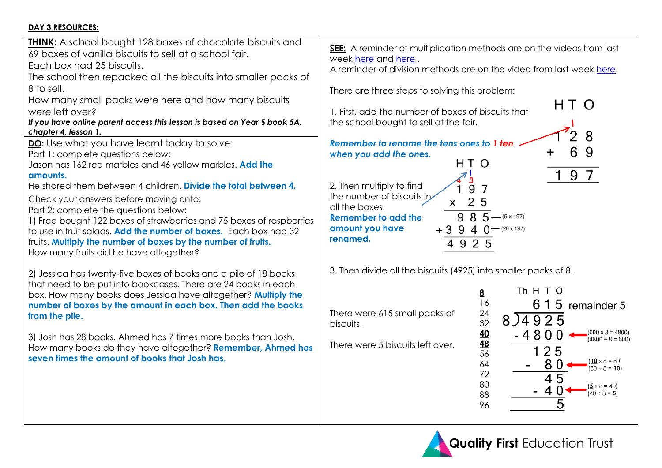# **DAY 3 RESOURCES:**

| <b>THINK:</b> A school bought 128 boxes of chocolate biscuits and<br>69 boxes of vanilla biscuits to sell at a school fair.<br>Each box had 25 biscuits.<br>The school then repacked all the biscuits into smaller packs of<br>8 to sell.<br>How many small packs were here and how many biscuits<br>were left over?<br>If you have online parent access this lesson is based on Year 5 book 5A,<br>chapter 4, lesson 1.<br>DO: Use what you have learnt today to solve:<br>Part 1: complete questions below:<br>Jason has 162 red marbles and 46 yellow marbles. Add the<br>amounts.<br>He shared them between 4 children. Divide the total between 4.<br>Check your answers before moving onto:<br>Part 2: complete the questions below:<br>1) Fred bought 122 boxes of strawberries and 75 boxes of raspberries<br>to use in fruit salads. Add the number of boxes. Each box had 32<br>fruits. Multiply the number of boxes by the number of fruits.<br>How many fruits did he have altogether? | <b>SEE:</b> A reminder of multiplication methods are on the videos from last<br>week here and here.<br>A reminder of division methods are on the video from last week here.<br>There are three steps to solving this problem:<br>H T.<br>1. First, add the number of boxes of biscuits that<br>the school bought to sell at the fair.<br>Remember to rename the tens ones to 1 ten<br>when you add the ones.<br>HT O<br>9<br>2. Then multiply to find<br>9<br>the number of biscuits in<br>5<br>all the boxes.<br>8<br>$5 - (5 \times 197)$<br>9<br><b>Remember to add the</b><br>amount you have<br>$+3.9$<br>4 $\bigcap$ $\leftarrow$ (20 x 197)<br>renamed.<br>4 9 2 5 |
|----------------------------------------------------------------------------------------------------------------------------------------------------------------------------------------------------------------------------------------------------------------------------------------------------------------------------------------------------------------------------------------------------------------------------------------------------------------------------------------------------------------------------------------------------------------------------------------------------------------------------------------------------------------------------------------------------------------------------------------------------------------------------------------------------------------------------------------------------------------------------------------------------------------------------------------------------------------------------------------------------|---------------------------------------------------------------------------------------------------------------------------------------------------------------------------------------------------------------------------------------------------------------------------------------------------------------------------------------------------------------------------------------------------------------------------------------------------------------------------------------------------------------------------------------------------------------------------------------------------------------------------------------------------------------------------|
| 2) Jessica has twenty-five boxes of books and a pile of 18 books<br>that need to be put into bookcases. There are 24 books in each<br>box. How many books does Jessica have altogether? Multiply the<br>number of boxes by the amount in each box. Then add the books<br>from the pile.<br>3) Josh has 28 books. Ahmed has 7 times more books than Josh.<br>How many books do they have altogether? Remember, Ahmed has<br>seven times the amount of books that Josh has.                                                                                                                                                                                                                                                                                                                                                                                                                                                                                                                          | 3. Then divide all the biscuits (4925) into smaller packs of 8.<br>Th H T O<br><u>8</u><br>16<br>6 1 5 remainder 5<br>24<br>There were 615 small packs of<br>8)4925<br>32<br>biscuits.<br><u>40</u><br>$(600 \times 8 = 4800)$<br>$-4800$<br>$(4800 \div 8 = 600)$<br>48<br>There were 5 biscuits left over.<br>25<br>56<br>$(10 \times 8 = 80)$<br>8 C<br>64<br>$(80 \div 8 = 10)$<br>72<br>45<br>80<br>$({\bf 5} \times 8 = 40)$<br>$(40 \div 8 = 5)$<br>88<br>96                                                                                                                                                                                                       |

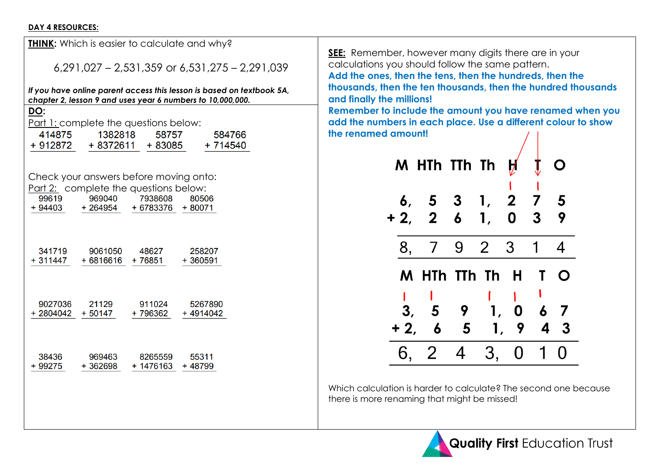#### **DAY 4 RESOURCES:**

|                   | <b>THINK:</b> Which is easier to calculate and why?                                                                                 |           |            |  |  |  |  |  |
|-------------------|-------------------------------------------------------------------------------------------------------------------------------------|-----------|------------|--|--|--|--|--|
|                   | $6,291,027 - 2,531,359$ or $6,531,275 - 2,291,039$                                                                                  |           |            |  |  |  |  |  |
|                   | If you have online parent access this lesson is based on textbook 5A,<br>chapter 2, lesson 9 and uses year 6 numbers to 10,000,000. |           |            |  |  |  |  |  |
| DO:               |                                                                                                                                     |           |            |  |  |  |  |  |
|                   | Part 1: complete the questions below:                                                                                               |           |            |  |  |  |  |  |
| 414875            | 1382818                                                                                                                             | 58757     | 584766     |  |  |  |  |  |
|                   | + 912872 + 8372611 + 83085                                                                                                          |           | $+714540$  |  |  |  |  |  |
|                   |                                                                                                                                     |           |            |  |  |  |  |  |
|                   | Check your answers before moving onto:                                                                                              |           |            |  |  |  |  |  |
|                   | Part 2: complete the questions below:                                                                                               |           |            |  |  |  |  |  |
| 99619             | 969040                                                                                                                              | 7938608   | 80506      |  |  |  |  |  |
| $+94403$          | + 264954                                                                                                                            | + 6783376 | $+80071$   |  |  |  |  |  |
|                   |                                                                                                                                     |           |            |  |  |  |  |  |
|                   |                                                                                                                                     |           |            |  |  |  |  |  |
| 341719            | 9061050<br>+6816616                                                                                                                 | 48627     | 258207     |  |  |  |  |  |
| $+311447$         |                                                                                                                                     | + 76851   | $+360591$  |  |  |  |  |  |
|                   |                                                                                                                                     |           |            |  |  |  |  |  |
|                   |                                                                                                                                     |           |            |  |  |  |  |  |
| 9027036           | 21129                                                                                                                               | 911024    | 5267890    |  |  |  |  |  |
| + 2804042 + 50147 |                                                                                                                                     | + 796362  | $+4914042$ |  |  |  |  |  |
|                   |                                                                                                                                     |           |            |  |  |  |  |  |
|                   |                                                                                                                                     |           |            |  |  |  |  |  |
| 38436             | 969463                                                                                                                              | 8265559   | 55311      |  |  |  |  |  |
| + 99275           | +362698                                                                                                                             | + 1476163 | $+48799$   |  |  |  |  |  |
|                   |                                                                                                                                     |           |            |  |  |  |  |  |
|                   |                                                                                                                                     |           |            |  |  |  |  |  |

**SEE:** Remember, however many digits there are in your calculations you should follow the same pattern. **Add the ones, then the tens, then the hundreds, then the thousands, then the ten thousands, then the hundred thousands and finally the millions! Remember to include the amount you have renamed when you add the numbers in each place. Use a different colour to show the renamed amount!**

|       | M HTh TTh Th    |                         |                | $\boldsymbol{\mathsf{H}}$ |                     |                  |
|-------|-----------------|-------------------------|----------------|---------------------------|---------------------|------------------|
| $+2,$ | 6, 5, 3, 1, 2   | $2\quad 6\quad 1$       |                | $\mathbf 0$               | $\overline{7}$<br>3 | 5<br>9           |
| 8,    | $7\overline{ }$ |                         | 9 2 3          |                           | $\mathbf 1$         | $\boldsymbol{4}$ |
|       | M HTh TTh Th H  |                         |                |                           | $\mathbf{T}$        | O                |
|       |                 |                         |                |                           |                     |                  |
| 3,    |                 | $5 \quad 9$             | $\mathbf{1}$ , |                           | 0 6                 | 7                |
| $+2,$ | $\overline{6}$  | $\overline{\mathbf{5}}$ |                | 1, 9                      | 4                   | 3                |
| 6.    | <sup>2</sup>    | $\overline{4}$          | 3,             | <sup>O</sup>              |                     |                  |

Which calculation is harder to calculate? The second one because there is more renaming that might be missed!

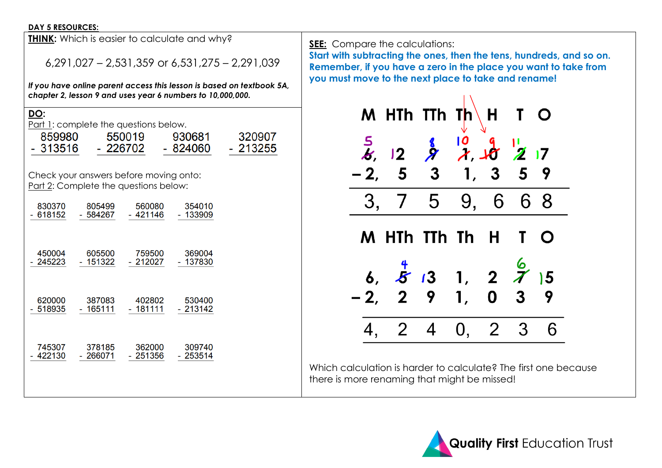#### **DAY 5 RESOURCES:**

|                                | <b>THINK:</b> Which is easier to calculate and why? |                                                                                 |                                                            |                                                                       |  |  |  |
|--------------------------------|-----------------------------------------------------|---------------------------------------------------------------------------------|------------------------------------------------------------|-----------------------------------------------------------------------|--|--|--|
|                                | $6,291,027 - 2,531,359$ or $6,531,275 - 2,291,039$  |                                                                                 |                                                            |                                                                       |  |  |  |
|                                |                                                     |                                                                                 | chapter 2, lesson 9 and uses year 6 numbers to 10,000,000. | If you have online parent access this lesson is based on textbook 5A, |  |  |  |
| <u>DO:</u><br>859980<br>313516 |                                                     | Part 1: complete the questions below.<br>550019<br>- 226702                     | 930681<br>- 824060                                         | 320907<br>- 213255                                                    |  |  |  |
|                                |                                                     | Check your answers before moving onto:<br>Part 2: Complete the questions below: |                                                            |                                                                       |  |  |  |
| 830370<br>- 618152             | 805499<br>- 584267                                  | 560080<br>- 421146                                                              | 354010<br>$-133909$                                        |                                                                       |  |  |  |
| 450004<br>245223               | 605500<br>$-151322$                                 | 759500<br>- 212027                                                              | 369004<br>$-137830$                                        |                                                                       |  |  |  |
| 620000<br>- 518935             | 387083<br>- 165111                                  | 402802<br>- 181111                                                              | 530400<br>$-213142$                                        |                                                                       |  |  |  |
| 745307<br>422130               | 378185<br>$-266071$                                 | 362000<br>$-251356$                                                             | 309740<br>$-253514$                                        |                                                                       |  |  |  |

**SEE:** Compare the calculations:

**Start with subtracting the ones, then the tens, hundreds, and so on. Remember, if you have a zero in the place you want to take from you must move to the next place to take and rename!**



Which calculation is harder to calculate? The first one because there is more renaming that might be missed!